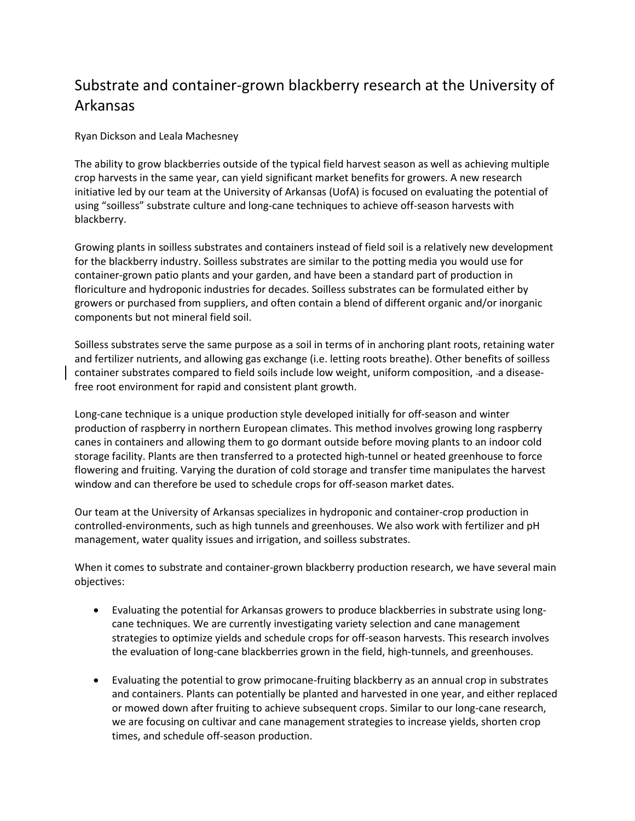## Substrate and container-grown blackberry research at the University of Arkansas

Ryan Dickson and Leala Machesney

The ability to grow blackberries outside of the typical field harvest season as well as achieving multiple crop harvests in the same year, can yield significant market benefits for growers. A new research initiative led by our team at the University of Arkansas (UofA) is focused on evaluating the potential of using "soilless" substrate culture and long-cane techniques to achieve off-season harvests with blackberry.

Growing plants in soilless substrates and containers instead of field soil is a relatively new development for the blackberry industry. Soilless substrates are similar to the potting media you would use for container-grown patio plants and your garden, and have been a standard part of production in floriculture and hydroponic industries for decades. Soilless substrates can be formulated either by growers or purchased from suppliers, and often contain a blend of different organic and/or inorganic components but not mineral field soil.

Soilless substrates serve the same purpose as a soil in terms of in anchoring plant roots, retaining water and fertilizer nutrients, and allowing gas exchange (i.e. letting roots breathe). Other benefits of soilless container substrates compared to field soils include low weight, uniform composition, -and a diseasefree root environment for rapid and consistent plant growth.

Long-cane technique is a unique production style developed initially for off-season and winter production of raspberry in northern European climates. This method involves growing long raspberry canes in containers and allowing them to go dormant outside before moving plants to an indoor cold storage facility. Plants are then transferred to a protected high-tunnel or heated greenhouse to force flowering and fruiting. Varying the duration of cold storage and transfer time manipulates the harvest window and can therefore be used to schedule crops for off-season market dates.

Our team at the University of Arkansas specializes in hydroponic and container-crop production in controlled-environments, such as high tunnels and greenhouses. We also work with fertilizer and pH management, water quality issues and irrigation, and soilless substrates.

When it comes to substrate and container-grown blackberry production research, we have several main objectives:

- Evaluating the potential for Arkansas growers to produce blackberries in substrate using longcane techniques. We are currently investigating variety selection and cane management strategies to optimize yields and schedule crops for off-season harvests. This research involves the evaluation of long-cane blackberries grown in the field, high-tunnels, and greenhouses.
- Evaluating the potential to grow primocane-fruiting blackberry as an annual crop in substrates and containers. Plants can potentially be planted and harvested in one year, and either replaced or mowed down after fruiting to achieve subsequent crops. Similar to our long-cane research, we are focusing on cultivar and cane management strategies to increase yields, shorten crop times, and schedule off-season production.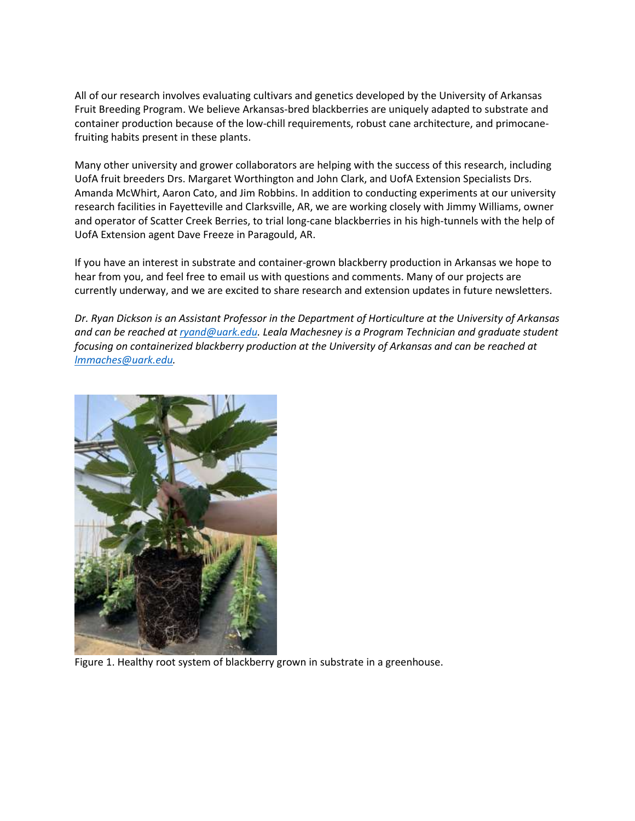All of our research involves evaluating cultivars and genetics developed by the University of Arkansas Fruit Breeding Program. We believe Arkansas-bred blackberries are uniquely adapted to substrate and container production because of the low-chill requirements, robust cane architecture, and primocanefruiting habits present in these plants.

Many other university and grower collaborators are helping with the success of this research, including UofA fruit breeders Drs. Margaret Worthington and John Clark, and UofA Extension Specialists Drs. Amanda McWhirt, Aaron Cato, and Jim Robbins. In addition to conducting experiments at our university research facilities in Fayetteville and Clarksville, AR, we are working closely with Jimmy Williams, owner and operator of Scatter Creek Berries, to trial long-cane blackberries in his high-tunnels with the help of UofA Extension agent Dave Freeze in Paragould, AR.

If you have an interest in substrate and container-grown blackberry production in Arkansas we hope to hear from you, and feel free to email us with questions and comments. Many of our projects are currently underway, and we are excited to share research and extension updates in future newsletters.

*Dr. Ryan Dickson is an Assistant Professor in the Department of Horticulture at the University of Arkansas and can be reached at [ryand@uark.edu.](mailto:ryand@uark.edu) Leala Machesney is a Program Technician and graduate student focusing on containerized blackberry production at the University of Arkansas and can be reached at [lmmaches@uark.edu.](mailto:lmmaches@uark.edu)*



Figure 1. Healthy root system of blackberry grown in substrate in a greenhouse.